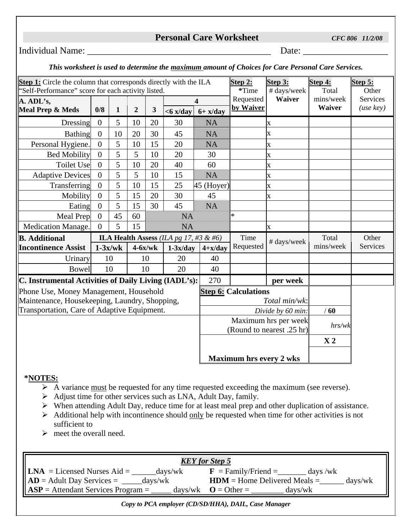## **Personal Care Worksheet** *CFC 806 11/2/08*

## Individual Name: \_\_\_\_\_\_\_\_\_\_\_\_\_\_\_\_\_\_\_\_\_\_\_\_\_\_\_\_\_\_\_\_\_\_\_\_\_\_\_ Date: \_\_\_\_\_\_\_\_\_\_\_\_\_\_\_\_\_\_

## *This worksheet is used to determine the maximum amount of Choices for Care Personal Care Services.*

| Step 1: Circle the column that corresponds directly with the ILA<br>'Self-Performance'' score for each activity listed. |                |              |                |    |                                |                             | Step 2:<br>*Time                                  | Step 3:<br># days/week | Step 4:<br>Total | Step 5:<br>Other |
|-------------------------------------------------------------------------------------------------------------------------|----------------|--------------|----------------|----|--------------------------------|-----------------------------|---------------------------------------------------|------------------------|------------------|------------------|
| A. ADL's,                                                                                                               |                |              |                |    | $\overline{\mathbf{4}}$        |                             | Requested                                         | <b>Waiver</b>          | mins/week        | <b>Services</b>  |
| <b>Meal Prep &amp; Meds</b>                                                                                             | 0/8            | $\mathbf{1}$ | $\overline{2}$ | 3  | $<$ 6 x/day                    | $6 + x/day$                 | by Waiver                                         |                        | Waiver           | (use key)        |
| Dressing                                                                                                                | $\mathbf{0}$   | 5            | 10             | 20 | 30                             | <b>Sidon</b>                |                                                   | X                      |                  |                  |
| <b>Bathing</b>                                                                                                          | $\overline{0}$ | 10           | 20             | 30 | 45                             | <u>ski ko</u>               |                                                   | $\mathbf x$            |                  |                  |
| Personal Hygiene.                                                                                                       | $\overline{0}$ | 5            | 10             | 15 | 20                             | <u>maan kalendari ka si</u> |                                                   | X                      |                  |                  |
| <b>Bed Mobility</b>                                                                                                     | $\overline{0}$ | 5            | 5              | 10 | 20                             | 30                          |                                                   | X                      |                  |                  |
| <b>Toilet Use</b>                                                                                                       | $\theta$       | 5            | 10             | 20 | 40                             | 60                          |                                                   | X                      |                  |                  |
| <b>Adaptive Devices</b>                                                                                                 | $\overline{0}$ | 5            | 5              | 10 | 15                             | <u>mana</u>                 |                                                   | X                      |                  |                  |
| Transferring                                                                                                            | $\overline{0}$ | 5            | 10             | 15 | 25                             | $45$ (Hoyer)                |                                                   | X                      |                  |                  |
| Mobility                                                                                                                | $\overline{0}$ | 5            | 15             | 20 | 30                             | 45                          |                                                   | X                      |                  |                  |
| Eating                                                                                                                  | $\overline{0}$ | 5            | 15             | 30 | 45                             | <u>Maritim </u>             |                                                   |                        |                  |                  |
| Meal Prep                                                                                                               | $\overline{0}$ | 45           | 60             |    | <u>Mariti Sa</u>               |                             | $\ast$                                            |                        |                  |                  |
| Medication Manage.                                                                                                      | $\overline{0}$ | 5            | 15             |    | <u>mara</u>                    |                             |                                                   | X                      |                  |                  |
| <b>B.</b> Additional<br>ILA Health Assess (ILA pg 17, #3 & #6)                                                          |                |              |                |    |                                | Time                        | # days/week                                       | Total                  | Other            |                  |
| <b>Incontinence Assist</b>                                                                                              | $1-3x/wk$      |              | $4-6x/wk$      |    | $1-3x/day$                     | $4+x/day$                   | Requested                                         |                        | mins/week        | Services         |
| Urinary                                                                                                                 | 10             |              | 10             |    | 20                             | 40                          |                                                   |                        |                  |                  |
| <b>Bowel</b>                                                                                                            | 10             |              |                | 10 | 20                             | 40                          |                                                   |                        |                  |                  |
| C. Instrumental Activities of Daily Living (IADL's):                                                                    |                |              |                |    |                                | 270                         |                                                   | per week               |                  |                  |
| Phone Use, Money Management, Household                                                                                  |                |              |                |    |                                |                             | <b>Step 6: Calculations</b>                       |                        |                  |                  |
| Maintenance, Housekeeping, Laundry, Shopping,                                                                           |                |              |                |    |                                | Total min/wk:               |                                                   |                        |                  |                  |
| Transportation, Care of Adaptive Equipment.                                                                             |                |              |                |    |                                |                             | Divide by 60 min:                                 |                        |                  |                  |
|                                                                                                                         |                |              |                |    |                                |                             | Maximum hrs per week<br>(Round to nearest .25 hr) |                        |                  |                  |
|                                                                                                                         |                |              |                |    |                                |                             |                                                   |                        | X <sub>2</sub>   |                  |
|                                                                                                                         |                |              |                |    | <b>Maximum hrs every 2 wks</b> |                             |                                                   |                        |                  |                  |

## **\*NOTES:**

- $\triangleright$  A variance <u>must</u> be requested for any time requested exceeding the maximum (see reverse).
- $\triangleright$  Adjust time for other services such as LNA, Adult Day, family.
- $\triangleright$  When attending Adult Day, reduce time for at least meal prep and other duplication of assistance.
- $\triangleright$  Additional help with incontinence should <u>only</u> be requested when time for other activities is not sufficient to
- $\triangleright$  meet the overall need.

| <b>KEY</b> for Step 5                          |                                                       |  |  |  |  |  |  |
|------------------------------------------------|-------------------------------------------------------|--|--|--|--|--|--|
| $\mathbf{LNA}$ = Licensed Nurses Aid =         | $\mathbf{F}$ = Family/Friend =                        |  |  |  |  |  |  |
| days/wk                                        | days /wk                                              |  |  |  |  |  |  |
| $\mathbf{AD} = \mathbf{A}$ dult Day Services = | $HDM =$ Home Delivered Meals =                        |  |  |  |  |  |  |
| $\frac{days}{wk}$                              | $\frac{days}{wk}$                                     |  |  |  |  |  |  |
| $\mathbf{ASP} =$ Attendant Services Program =  | $\text{days}/\text{wk}$ <b>O</b> = Other =<br>days/wk |  |  |  |  |  |  |

*Copy to PCA employer (CD/SD/HHA), DAIL, Case Manager*